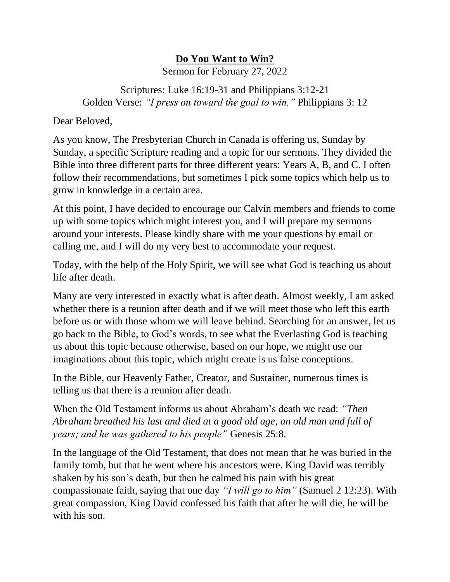## **Do You Want to Win?**

Sermon for February 27, 2022

Scriptures: Luke 16:19-31 and Philippians 3:12-21 Golden Verse: *"I press on toward the goal to win."* Philippians 3: 12

Dear Beloved,

As you know, The Presbyterian Church in Canada is offering us, Sunday by Sunday, a specific Scripture reading and a topic for our sermons. They divided the Bible into three different parts for three different years: Years A, B, and C. I often follow their recommendations, but sometimes I pick some topics which help us to grow in knowledge in a certain area.

At this point, I have decided to encourage our Calvin members and friends to come up with some topics which might interest you, and I will prepare my sermons around your interests. Please kindly share with me your questions by email or calling me, and I will do my very best to accommodate your request.

Today, with the help of the Holy Spirit, we will see what God is teaching us about life after death.

Many are very interested in exactly what is after death. Almost weekly, I am asked whether there is a reunion after death and if we will meet those who left this earth before us or with those whom we will leave behind. Searching for an answer, let us go back to the Bible, to God's words, to see what the Everlasting God is teaching us about this topic because otherwise, based on our hope, we might use our imaginations about this topic, which might create is us false conceptions.

In the Bible, our Heavenly Father, Creator, and Sustainer, numerous times is telling us that there is a reunion after death.

When the Old Testament informs us about Abraham's death we read: *"Then Abraham breathed his last and died at a good old age, an old man and full of years; and he was gathered to his people"* Genesis 25:8.

In the language of the Old Testament, that does not mean that he was buried in the family tomb, but that he went where his ancestors were. King David was terribly shaken by his son's death, but then he calmed his pain with his great compassionate faith, saying that one day *"I will go to him"* (Samuel 2 12:23). With great compassion, King David confessed his faith that after he will die, he will be with his son.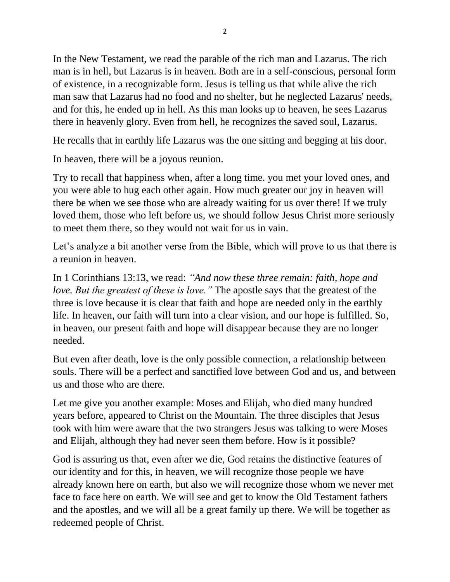In the New Testament, we read the parable of the rich man and Lazarus. The rich man is in hell, but Lazarus is in heaven. Both are in a self-conscious, personal form of existence, in a recognizable form. Jesus is telling us that while alive the rich man saw that Lazarus had no food and no shelter, but he neglected Lazarus' needs, and for this, he ended up in hell. As this man looks up to heaven, he sees Lazarus there in heavenly glory. Even from hell, he recognizes the saved soul, Lazarus.

He recalls that in earthly life Lazarus was the one sitting and begging at his door.

In heaven, there will be a joyous reunion.

Try to recall that happiness when, after a long time. you met your loved ones, and you were able to hug each other again. How much greater our joy in heaven will there be when we see those who are already waiting for us over there! If we truly loved them, those who left before us, we should follow Jesus Christ more seriously to meet them there, so they would not wait for us in vain.

Let's analyze a bit another verse from the Bible, which will prove to us that there is a reunion in heaven.

In 1 Corinthians 13:13, we read: *"And now these three remain: faith, hope and love. But the greatest of these is love."* The apostle says that the greatest of the three is love because it is clear that faith and hope are needed only in the earthly life. In heaven, our faith will turn into a clear vision, and our hope is fulfilled. So, in heaven, our present faith and hope will disappear because they are no longer needed.

But even after death, love is the only possible connection, a relationship between souls. There will be a perfect and sanctified love between God and us, and between us and those who are there.

Let me give you another example: Moses and Elijah, who died many hundred years before, appeared to Christ on the Mountain. The three disciples that Jesus took with him were aware that the two strangers Jesus was talking to were Moses and Elijah, although they had never seen them before. How is it possible?

God is assuring us that, even after we die, God retains the distinctive features of our identity and for this, in heaven, we will recognize those people we have already known here on earth, but also we will recognize those whom we never met face to face here on earth. We will see and get to know the Old Testament fathers and the apostles, and we will all be a great family up there. We will be together as redeemed people of Christ.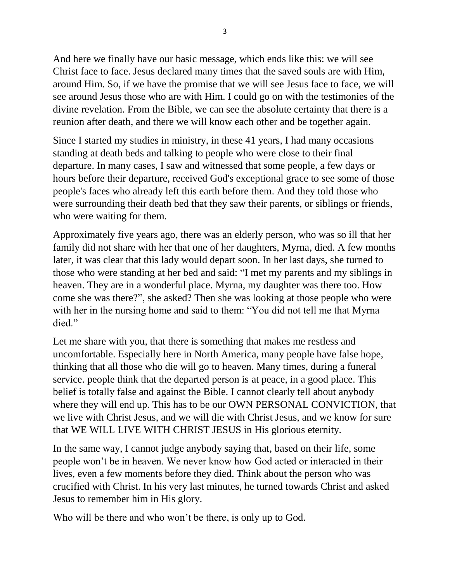And here we finally have our basic message, which ends like this: we will see Christ face to face. Jesus declared many times that the saved souls are with Him, around Him. So, if we have the promise that we will see Jesus face to face, we will see around Jesus those who are with Him. I could go on with the testimonies of the divine revelation. From the Bible, we can see the absolute certainty that there is a reunion after death, and there we will know each other and be together again.

Since I started my studies in ministry, in these 41 years, I had many occasions standing at death beds and talking to people who were close to their final departure. In many cases, I saw and witnessed that some people, a few days or hours before their departure, received God's exceptional grace to see some of those people's faces who already left this earth before them. And they told those who were surrounding their death bed that they saw their parents, or siblings or friends, who were waiting for them.

Approximately five years ago, there was an elderly person, who was so ill that her family did not share with her that one of her daughters, Myrna, died. A few months later, it was clear that this lady would depart soon. In her last days, she turned to those who were standing at her bed and said: "I met my parents and my siblings in heaven. They are in a wonderful place. Myrna, my daughter was there too. How come she was there?", she asked? Then she was looking at those people who were with her in the nursing home and said to them: "You did not tell me that Myrna died."

Let me share with you, that there is something that makes me restless and uncomfortable. Especially here in North America, many people have false hope, thinking that all those who die will go to heaven. Many times, during a funeral service. people think that the departed person is at peace, in a good place. This belief is totally false and against the Bible. I cannot clearly tell about anybody where they will end up. This has to be our OWN PERSONAL CONVICTION, that we live with Christ Jesus, and we will die with Christ Jesus, and we know for sure that WE WILL LIVE WITH CHRIST JESUS in His glorious eternity.

In the same way, I cannot judge anybody saying that, based on their life, some people won't be in heaven. We never know how God acted or interacted in their lives, even a few moments before they died. Think about the person who was crucified with Christ. In his very last minutes, he turned towards Christ and asked Jesus to remember him in His glory.

Who will be there and who won't be there, is only up to God.